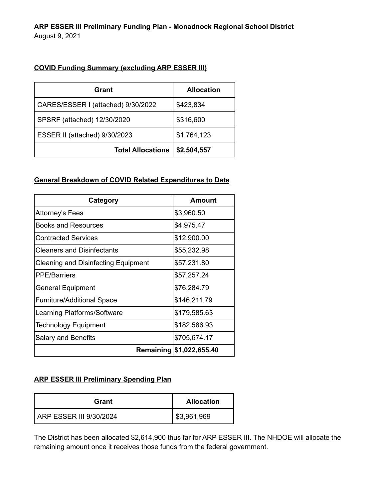## **COVID Funding Summary (excluding ARP ESSER III)**

| Grant                              | <b>Allocation</b> |
|------------------------------------|-------------------|
| CARES/ESSER I (attached) 9/30/2022 | \$423,834         |
| SPSRF (attached) 12/30/2020        | \$316,600         |
| ESSER II (attached) 9/30/2023      | \$1,764,123       |
| <b>Total Allocations</b>           | \$2,504,557       |

#### **General Breakdown of COVID Related Expenditures to Date**

| Category                                   | <b>Amount</b>            |
|--------------------------------------------|--------------------------|
| Attorney's Fees                            | \$3,960.50               |
| <b>Books and Resources</b>                 | \$4,975.47               |
| <b>Contracted Services</b>                 | \$12,900.00              |
| <b>Cleaners and Disinfectants</b>          | \$55,232.98              |
| <b>Cleaning and Disinfecting Equipment</b> | \$57,231.80              |
| <b>PPE/Barriers</b>                        | \$57,257.24              |
| <b>General Equipment</b>                   | \$76,284.79              |
| <b>Furniture/Additional Space</b>          | \$146,211.79             |
| Learning Platforms/Software                | \$179,585.63             |
| <b>Technology Equipment</b>                | \$182,586.93             |
| <b>Salary and Benefits</b>                 | \$705,674.17             |
|                                            | Remaining \$1,022,655.40 |

## **ARP ESSER III Preliminary Spending Plan**

| Grant                    | <b>Allocation</b> |
|--------------------------|-------------------|
| LARP ESSER III 9/30/2024 | \$3,961,969       |

The District has been allocated \$2,614,900 thus far for ARP ESSER III. The NHDOE will allocate the remaining amount once it receives those funds from the federal government.